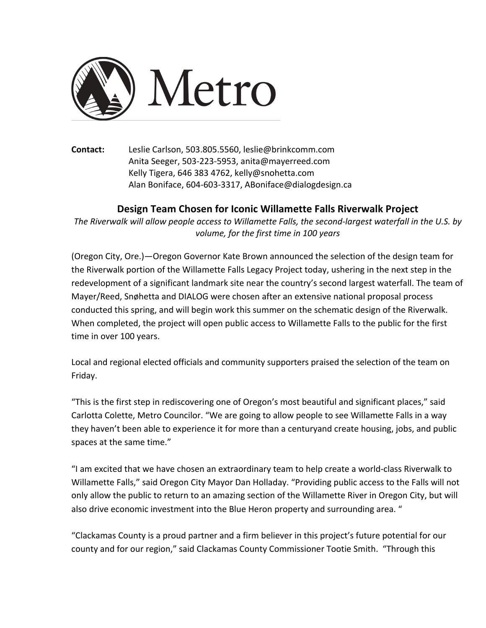

**Contact:** Leslie Carlson, 503.805.5560, leslie@brinkcomm.com Anita Seeger, 503-223-5953, anita@mayerreed.com Kelly Tigera, 646 383 4762, kelly@snohetta.com Alan Boniface, 604-603-3317, ABoniface@dialogdesign.ca

## **Design Team Chosen for Iconic Willamette Falls Riverwalk Project**

The Riverwalk will allow people access to Willamette Falls, the second-largest waterfall in the U.S. by *volume, for the first time in 100 years* 

(Oregon City, Ore.)—Oregon Governor Kate Brown announced the selection of the design team for the Riverwalk portion of the Willamette Falls Legacy Project today, ushering in the next step in the redevelopment of a significant landmark site near the country's second largest waterfall. The team of Mayer/Reed, Snøhetta and DIALOG were chosen after an extensive national proposal process conducted this spring, and will begin work this summer on the schematic design of the Riverwalk. When completed, the project will open public access to Willamette Falls to the public for the first time in over 100 years.

Local and regional elected officials and community supporters praised the selection of the team on Friday. 

"This is the first step in rediscovering one of Oregon's most beautiful and significant places," said Carlotta Colette, Metro Councilor. "We are going to allow people to see Willamette Falls in a way they haven't been able to experience it for more than a centuryand create housing, jobs, and public spaces at the same time."

"I am excited that we have chosen an extraordinary team to help create a world-class Riverwalk to Willamette Falls," said Oregon City Mayor Dan Holladay. "Providing public access to the Falls will not only allow the public to return to an amazing section of the Willamette River in Oregon City, but will also drive economic investment into the Blue Heron property and surrounding area. "

"Clackamas County is a proud partner and a firm believer in this project's future potential for our county and for our region," said Clackamas County Commissioner Tootie Smith. "Through this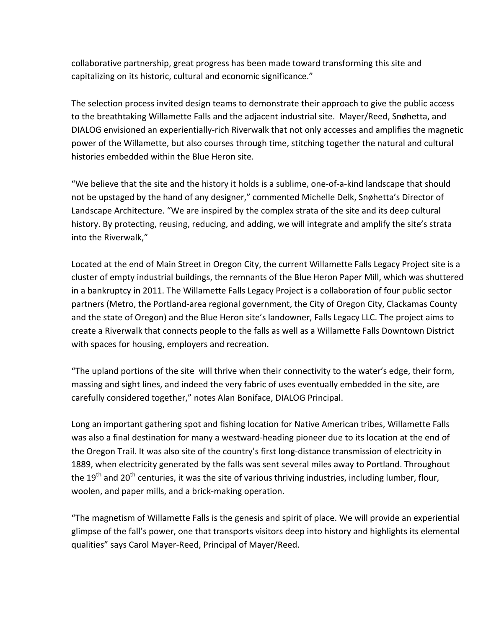collaborative partnership, great progress has been made toward transforming this site and capitalizing on its historic, cultural and economic significance."

The selection process invited design teams to demonstrate their approach to give the public access to the breathtaking Willamette Falls and the adjacent industrial site. Mayer/Reed, Snøhetta, and DIALOG envisioned an experientially-rich Riverwalk that not only accesses and amplifies the magnetic power of the Willamette, but also courses through time, stitching together the natural and cultural histories embedded within the Blue Heron site.

"We believe that the site and the history it holds is a sublime, one-of-a-kind landscape that should not be upstaged by the hand of any designer," commented Michelle Delk, Snøhetta's Director of Landscape Architecture. "We are inspired by the complex strata of the site and its deep cultural history. By protecting, reusing, reducing, and adding, we will integrate and amplify the site's strata into the Riverwalk,"

Located at the end of Main Street in Oregon City, the current Willamette Falls Legacy Project site is a cluster of empty industrial buildings, the remnants of the Blue Heron Paper Mill, which was shuttered in a bankruptcy in 2011. The Willamette Falls Legacy Project is a collaboration of four public sector partners (Metro, the Portland-area regional government, the City of Oregon City, Clackamas County and the state of Oregon) and the Blue Heron site's landowner, Falls Legacy LLC. The project aims to create a Riverwalk that connects people to the falls as well as a Willamette Falls Downtown District with spaces for housing, employers and recreation.

"The upland portions of the site will thrive when their connectivity to the water's edge, their form, massing and sight lines, and indeed the very fabric of uses eventually embedded in the site, are carefully considered together," notes Alan Boniface, DIALOG Principal.

Long an important gathering spot and fishing location for Native American tribes, Willamette Falls was also a final destination for many a westward-heading pioneer due to its location at the end of the Oregon Trail. It was also site of the country's first long-distance transmission of electricity in 1889, when electricity generated by the falls was sent several miles away to Portland. Throughout the  $19<sup>th</sup>$  and  $20<sup>th</sup>$  centuries, it was the site of various thriving industries, including lumber, flour, woolen, and paper mills, and a brick-making operation.

"The magnetism of Willamette Falls is the genesis and spirit of place. We will provide an experiential glimpse of the fall's power, one that transports visitors deep into history and highlights its elemental qualities" says Carol Mayer-Reed, Principal of Mayer/Reed.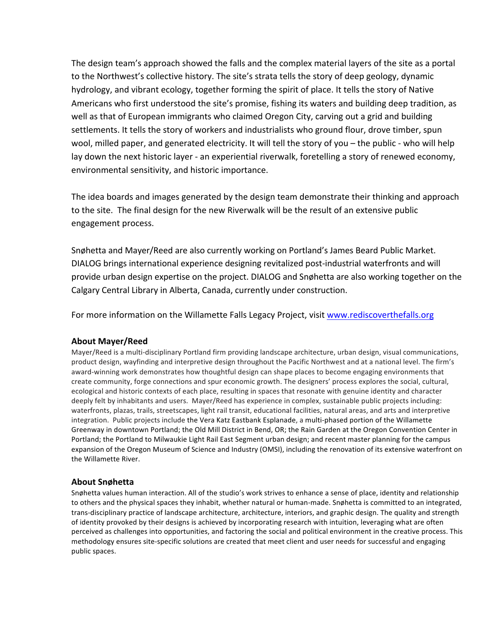The design team's approach showed the falls and the complex material layers of the site as a portal to the Northwest's collective history. The site's strata tells the story of deep geology, dynamic hydrology, and vibrant ecology, together forming the spirit of place. It tells the story of Native Americans who first understood the site's promise, fishing its waters and building deep tradition, as well as that of European immigrants who claimed Oregon City, carving out a grid and building settlements. It tells the story of workers and industrialists who ground flour, drove timber, spun wool, milled paper, and generated electricity. It will tell the story of you - the public - who will help lay down the next historic layer - an experiential riverwalk, foretelling a story of renewed economy, environmental sensitivity, and historic importance.

The idea boards and images generated by the design team demonstrate their thinking and approach to the site. The final design for the new Riverwalk will be the result of an extensive public engagement process.

Snøhetta and Mayer/Reed are also currently working on Portland's James Beard Public Market. DIALOG brings international experience designing revitalized post-industrial waterfronts and will provide urban design expertise on the project. DIALOG and Snøhetta are also working together on the Calgary Central Library in Alberta, Canada, currently under construction.

For more information on the Willamette Falls Legacy Project, visit www.rediscoverthefalls.org

## **About Mayer/Reed**

Mayer/Reed is a multi-disciplinary Portland firm providing landscape architecture, urban design, visual communications, product design, wayfinding and interpretive design throughout the Pacific Northwest and at a national level. The firm's award-winning work demonstrates how thoughtful design can shape places to become engaging environments that create community, forge connections and spur economic growth. The designers' process explores the social, cultural, ecological and historic contexts of each place, resulting in spaces that resonate with genuine identity and character deeply felt by inhabitants and users. Mayer/Reed has experience in complex, sustainable public projects including: waterfronts, plazas, trails, streetscapes, light rail transit, educational facilities, natural areas, and arts and interpretive integration. Public projects include the Vera Katz Eastbank Esplanade, a multi-phased portion of the Willamette Greenway in downtown Portland; the Old Mill District in Bend, OR; the Rain Garden at the Oregon Convention Center in Portland; the Portland to Milwaukie Light Rail East Segment urban design; and recent master planning for the campus expansion of the Oregon Museum of Science and Industry (OMSI), including the renovation of its extensive waterfront on the Willamette River.

## **About Snøhetta**

Snøhetta values human interaction. All of the studio's work strives to enhance a sense of place, identity and relationship to others and the physical spaces they inhabit, whether natural or human-made. Snøhetta is committed to an integrated, trans-disciplinary practice of landscape architecture, architecture, interiors, and graphic design. The quality and strength of identity provoked by their designs is achieved by incorporating research with intuition, leveraging what are often perceived as challenges into opportunities, and factoring the social and political environment in the creative process. This methodology ensures site-specific solutions are created that meet client and user needs for successful and engaging public spaces.